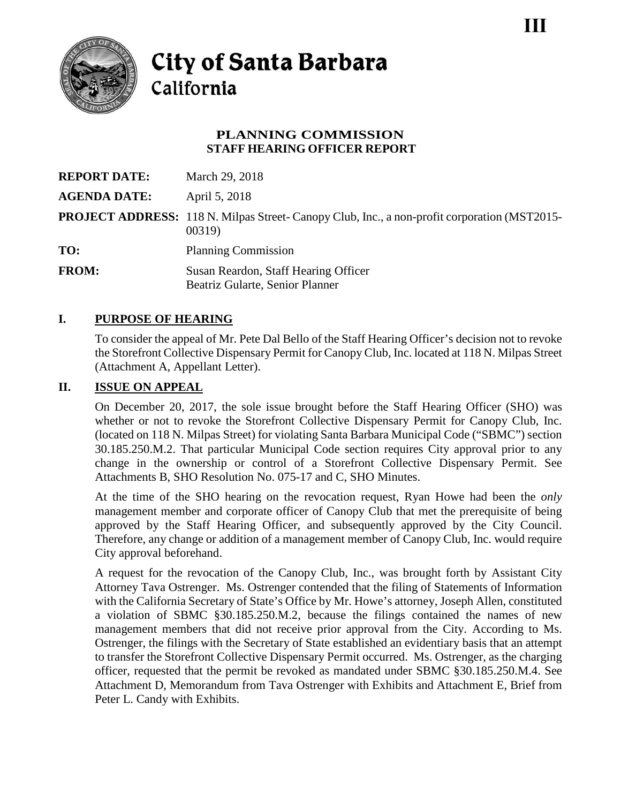

# **City of Santa Barbara** California

### **PLANNING COMMISSION STAFF HEARING OFFICER REPORT**

| <b>REPORT DATE:</b> | March 29, 2018                                                                                                |
|---------------------|---------------------------------------------------------------------------------------------------------------|
| <b>AGENDA DATE:</b> | April 5, 2018                                                                                                 |
|                     | <b>PROJECT ADDRESS:</b> 118 N. Milpas Street- Canopy Club, Inc., a non-profit corporation (MST2015-<br>00319) |
| TO:                 | <b>Planning Commission</b>                                                                                    |
| <b>FROM:</b>        | Susan Reardon, Staff Hearing Officer<br>Beatriz Gularte, Senior Planner                                       |

## **I. PURPOSE OF HEARING**

To consider the appeal of Mr. Pete Dal Bello of the Staff Hearing Officer's decision not to revoke the Storefront Collective Dispensary Permit for Canopy Club, Inc. located at 118 N. Milpas Street (Attachment A, Appellant Letter).

### **II. ISSUE ON APPEAL**

On December 20, 2017, the sole issue brought before the Staff Hearing Officer (SHO) was whether or not to revoke the Storefront Collective Dispensary Permit for Canopy Club, Inc. (located on 118 N. Milpas Street) for violating Santa Barbara Municipal Code ("SBMC") section 30.185.250.M.2. That particular Municipal Code section requires City approval prior to any change in the ownership or control of a Storefront Collective Dispensary Permit. See Attachments B, SHO Resolution No. 075-17 and C, SHO Minutes.

At the time of the SHO hearing on the revocation request, Ryan Howe had been the *only* management member and corporate officer of Canopy Club that met the prerequisite of being approved by the Staff Hearing Officer, and subsequently approved by the City Council. Therefore, any change or addition of a management member of Canopy Club, Inc. would require City approval beforehand.

A request for the revocation of the Canopy Club, Inc., was brought forth by Assistant City Attorney Tava Ostrenger. Ms. Ostrenger contended that the filing of Statements of Information with the California Secretary of State's Office by Mr. Howe's attorney, Joseph Allen, constituted a violation of SBMC §30.185.250.M.2, because the filings contained the names of new management members that did not receive prior approval from the City. According to Ms. Ostrenger, the filings with the Secretary of State established an evidentiary basis that an attempt to transfer the Storefront Collective Dispensary Permit occurred. Ms. Ostrenger, as the charging officer, requested that the permit be revoked as mandated under SBMC §30.185.250.M.4. See Attachment D, Memorandum from Tava Ostrenger with Exhibits and Attachment E, Brief from Peter L. Candy with Exhibits.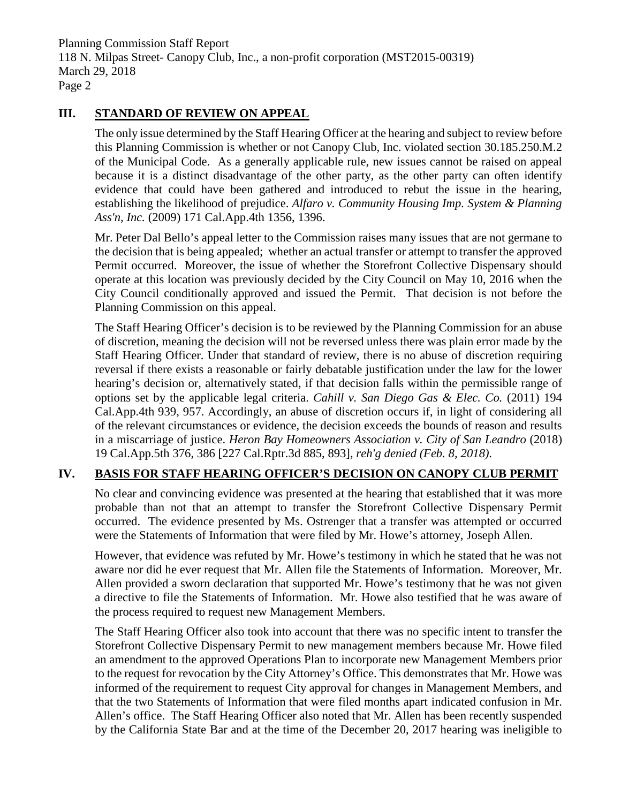Planning Commission Staff Report 118 N. Milpas Street- Canopy Club, Inc., a non-profit corporation (MST2015-00319) March 29, 2018 Page 2

#### **III. STANDARD OF REVIEW ON APPEAL**

The only issue determined by the Staff Hearing Officer at the hearing and subject to review before this Planning Commission is whether or not Canopy Club, Inc. violated section 30.185.250.M.2 of the Municipal Code. As a generally applicable rule, new issues cannot be raised on appeal because it is a distinct disadvantage of the other party, as the other party can often identify evidence that could have been gathered and introduced to rebut the issue in the hearing, establishing the likelihood of prejudice. *Alfaro v. Community Housing Imp. System & Planning Ass'n, Inc.* (2009) 171 Cal.App.4th 1356, 1396.

Mr. Peter Dal Bello's appeal letter to the Commission raises many issues that are not germane to the decision that is being appealed; whether an actual transfer or attempt to transfer the approved Permit occurred. Moreover, the issue of whether the Storefront Collective Dispensary should operate at this location was previously decided by the City Council on May 10, 2016 when the City Council conditionally approved and issued the Permit. That decision is not before the Planning Commission on this appeal.

The Staff Hearing Officer's decision is to be reviewed by the Planning Commission for an abuse of discretion, meaning the decision will not be reversed unless there was plain error made by the Staff Hearing Officer. Under that standard of review, there is no abuse of discretion requiring reversal if there exists a reasonable or fairly debatable justification under the law for the lower hearing's decision or, alternatively stated, if that decision falls within the permissible range of options set by the applicable legal criteria. *Cahill v. San Diego Gas & Elec. Co.* (2011) 194 Cal.App.4th 939, 957. Accordingly, an abuse of discretion occurs if, in light of considering all of the relevant circumstances or evidence, the decision exceeds the bounds of reason and results in a miscarriage of justice. *Heron Bay Homeowners Association v. City of San Leandro* (2018) 19 Cal.App.5th 376, 386 [227 Cal.Rptr.3d 885, 893], *reh'g denied (Feb. 8, 2018)*.

## **IV. BASIS FOR STAFF HEARING OFFICER'S DECISION ON CANOPY CLUB PERMIT**

No clear and convincing evidence was presented at the hearing that established that it was more probable than not that an attempt to transfer the Storefront Collective Dispensary Permit occurred. The evidence presented by Ms. Ostrenger that a transfer was attempted or occurred were the Statements of Information that were filed by Mr. Howe's attorney, Joseph Allen.

However, that evidence was refuted by Mr. Howe's testimony in which he stated that he was not aware nor did he ever request that Mr. Allen file the Statements of Information. Moreover, Mr. Allen provided a sworn declaration that supported Mr. Howe's testimony that he was not given a directive to file the Statements of Information. Mr. Howe also testified that he was aware of the process required to request new Management Members.

The Staff Hearing Officer also took into account that there was no specific intent to transfer the Storefront Collective Dispensary Permit to new management members because Mr. Howe filed an amendment to the approved Operations Plan to incorporate new Management Members prior to the request for revocation by the City Attorney's Office. This demonstrates that Mr. Howe was informed of the requirement to request City approval for changes in Management Members, and that the two Statements of Information that were filed months apart indicated confusion in Mr. Allen's office. The Staff Hearing Officer also noted that Mr. Allen has been recently suspended by the California State Bar and at the time of the December 20, 2017 hearing was ineligible to